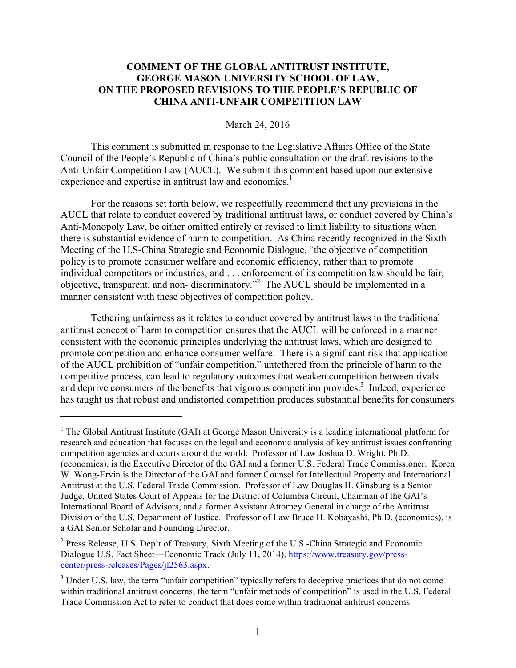## **COMMENT OF THE GLOBAL ANTITRUST INSTITUTE, GEORGE MASON UNIVERSITY SCHOOL OF LAW, ON THE PROPOSED REVISIONS TO THE PEOPLE'S REPUBLIC OF CHINA ANTI-UNFAIR COMPETITION LAW**

#### March 24, 2016

This comment is submitted in response to the Legislative Affairs Office of the State Council of the People's Republic of China's public consultation on the draft revisions to the Anti-Unfair Competition Law (AUCL). We submit this comment based upon our extensive experience and expertise in antitrust law and economics.<sup>1</sup>

For the reasons set forth below, we respectfully recommend that any provisions in the AUCL that relate to conduct covered by traditional antitrust laws, or conduct covered by China's Anti-Monopoly Law, be either omitted entirely or revised to limit liability to situations when there is substantial evidence of harm to competition. As China recently recognized in the Sixth Meeting of the U.S-China Strategic and Economic Dialogue, "the objective of competition policy is to promote consumer welfare and economic efficiency, rather than to promote individual competitors or industries, and . . . enforcement of its competition law should be fair, objective, transparent, and non- discriminatory."<sup>2</sup> The AUCL should be implemented in a manner consistent with these objectives of competition policy.

Tethering unfairness as it relates to conduct covered by antitrust laws to the traditional antitrust concept of harm to competition ensures that the AUCL will be enforced in a manner consistent with the economic principles underlying the antitrust laws, which are designed to promote competition and enhance consumer welfare. There is a significant risk that application of the AUCL prohibition of "unfair competition," untethered from the principle of harm to the competitive process, can lead to regulatory outcomes that weaken competition between rivals and deprive consumers of the benefits that vigorous competition provides. $3$  Indeed, experience has taught us that robust and undistorted competition produces substantial benefits for consumers

 

<sup>&</sup>lt;sup>1</sup> The Global Antitrust Institute (GAI) at George Mason University is a leading international platform for research and education that focuses on the legal and economic analysis of key antitrust issues confronting competition agencies and courts around the world. Professor of Law Joshua D. Wright, Ph.D. (economics), is the Executive Director of the GAI and a former U.S. Federal Trade Commissioner. Koren W. Wong-Ervin is the Director of the GAI and former Counsel for Intellectual Property and International Antitrust at the U.S. Federal Trade Commission. Professor of Law Douglas H. Ginsburg is a Senior Judge, United States Court of Appeals for the District of Columbia Circuit, Chairman of the GAI's International Board of Advisors, and a former Assistant Attorney General in charge of the Antitrust Division of the U.S. Department of Justice. Professor of Law Bruce H. Kobayashi, Ph.D. (economics), is a GAI Senior Scholar and Founding Director.

<sup>&</sup>lt;sup>2</sup> Press Release, U.S. Dep't of Treasury, Sixth Meeting of the U.S.-China Strategic and Economic Dialogue U.S. Fact Sheet—Economic Track (July 11, 2014), https://www.treasury.gov/presscenter/press-releases/Pages/jl2563.aspx.

<sup>&</sup>lt;sup>3</sup> Under U.S. law, the term "unfair competition" typically refers to deceptive practices that do not come within traditional antitrust concerns; the term "unfair methods of competition" is used in the U.S. Federal Trade Commission Act to refer to conduct that does come within traditional antitrust concerns.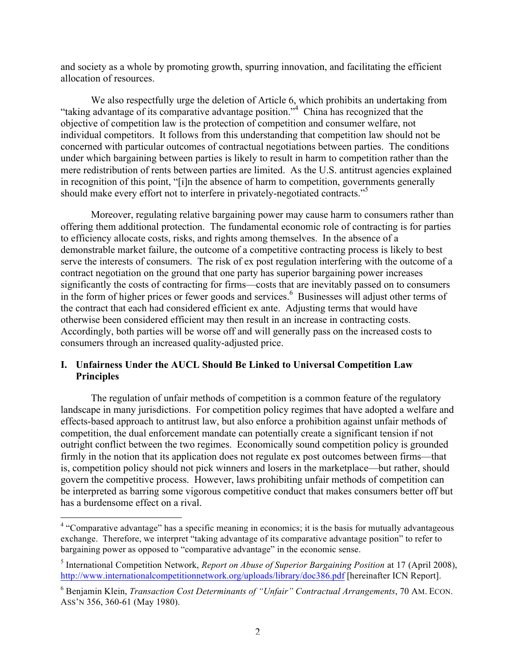and society as a whole by promoting growth, spurring innovation, and facilitating the efficient allocation of resources.

We also respectfully urge the deletion of Article 6, which prohibits an undertaking from "taking advantage of its comparative advantage position."4 China has recognized that the objective of competition law is the protection of competition and consumer welfare, not individual competitors. It follows from this understanding that competition law should not be concerned with particular outcomes of contractual negotiations between parties. The conditions under which bargaining between parties is likely to result in harm to competition rather than the mere redistribution of rents between parties are limited. As the U.S. antitrust agencies explained in recognition of this point, "[i]n the absence of harm to competition, governments generally should make every effort not to interfere in privately-negotiated contracts."<sup>5</sup>

Moreover, regulating relative bargaining power may cause harm to consumers rather than offering them additional protection. The fundamental economic role of contracting is for parties to efficiency allocate costs, risks, and rights among themselves. In the absence of a demonstrable market failure, the outcome of a competitive contracting process is likely to best serve the interests of consumers. The risk of ex post regulation interfering with the outcome of a contract negotiation on the ground that one party has superior bargaining power increases significantly the costs of contracting for firms—costs that are inevitably passed on to consumers in the form of higher prices or fewer goods and services.<sup>6</sup> Businesses will adjust other terms of the contract that each had considered efficient ex ante. Adjusting terms that would have otherwise been considered efficient may then result in an increase in contracting costs. Accordingly, both parties will be worse off and will generally pass on the increased costs to consumers through an increased quality-adjusted price.

# **I. Unfairness Under the AUCL Should Be Linked to Universal Competition Law Principles**

The regulation of unfair methods of competition is a common feature of the regulatory landscape in many jurisdictions. For competition policy regimes that have adopted a welfare and effects-based approach to antitrust law, but also enforce a prohibition against unfair methods of competition, the dual enforcement mandate can potentially create a significant tension if not outright conflict between the two regimes. Economically sound competition policy is grounded firmly in the notion that its application does not regulate ex post outcomes between firms—that is, competition policy should not pick winners and losers in the marketplace—but rather, should govern the competitive process. However, laws prohibiting unfair methods of competition can be interpreted as barring some vigorous competitive conduct that makes consumers better off but has a burdensome effect on a rival.

 

<sup>&</sup>lt;sup>4</sup> "Comparative advantage" has a specific meaning in economics; it is the basis for mutually advantageous exchange. Therefore, we interpret "taking advantage of its comparative advantage position" to refer to bargaining power as opposed to "comparative advantage" in the economic sense.

<sup>5</sup> International Competition Network, *Report on Abuse of Superior Bargaining Position* at 17 (April 2008), http://www.internationalcompetitionnetwork.org/uploads/library/doc386.pdf [hereinafter ICN Report].

<sup>6</sup> Benjamin Klein, *Transaction Cost Determinants of "Unfair" Contractual Arrangements*, 70 AM. ECON. ASS'N 356, 360-61 (May 1980).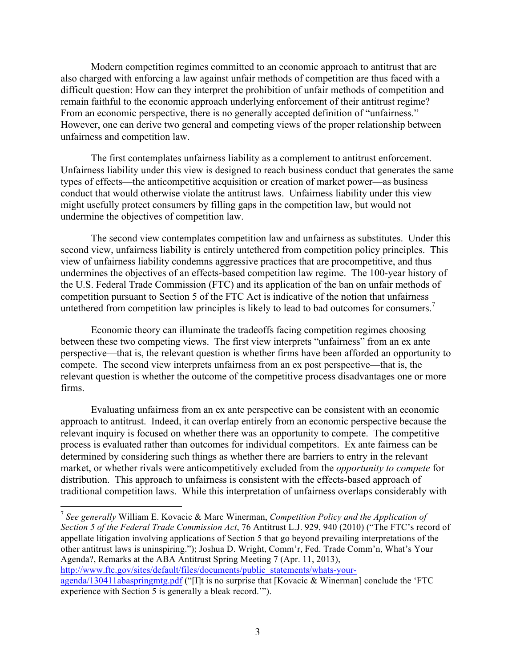Modern competition regimes committed to an economic approach to antitrust that are also charged with enforcing a law against unfair methods of competition are thus faced with a difficult question: How can they interpret the prohibition of unfair methods of competition and remain faithful to the economic approach underlying enforcement of their antitrust regime? From an economic perspective, there is no generally accepted definition of "unfairness." However, one can derive two general and competing views of the proper relationship between unfairness and competition law.

The first contemplates unfairness liability as a complement to antitrust enforcement. Unfairness liability under this view is designed to reach business conduct that generates the same types of effects—the anticompetitive acquisition or creation of market power—as business conduct that would otherwise violate the antitrust laws. Unfairness liability under this view might usefully protect consumers by filling gaps in the competition law, but would not undermine the objectives of competition law.

The second view contemplates competition law and unfairness as substitutes. Under this second view, unfairness liability is entirely untethered from competition policy principles. This view of unfairness liability condemns aggressive practices that are procompetitive, and thus undermines the objectives of an effects-based competition law regime. The 100-year history of the U.S. Federal Trade Commission (FTC) and its application of the ban on unfair methods of competition pursuant to Section 5 of the FTC Act is indicative of the notion that unfairness untethered from competition law principles is likely to lead to bad outcomes for consumers.<sup>7</sup>

Economic theory can illuminate the tradeoffs facing competition regimes choosing between these two competing views. The first view interprets "unfairness" from an ex ante perspective—that is, the relevant question is whether firms have been afforded an opportunity to compete. The second view interprets unfairness from an ex post perspective—that is, the relevant question is whether the outcome of the competitive process disadvantages one or more firms.

Evaluating unfairness from an ex ante perspective can be consistent with an economic approach to antitrust. Indeed, it can overlap entirely from an economic perspective because the relevant inquiry is focused on whether there was an opportunity to compete. The competitive process is evaluated rather than outcomes for individual competitors. Ex ante fairness can be determined by considering such things as whether there are barriers to entry in the relevant market, or whether rivals were anticompetitively excluded from the *opportunity to compete* for distribution. This approach to unfairness is consistent with the effects-based approach of traditional competition laws. While this interpretation of unfairness overlaps considerably with

 

<sup>7</sup> *See generally* William E. Kovacic & Marc Winerman, *Competition Policy and the Application of Section 5 of the Federal Trade Commission Act*, 76 Antitrust L.J. 929, 940 (2010) ("The FTC's record of appellate litigation involving applications of Section 5 that go beyond prevailing interpretations of the other antitrust laws is uninspiring."); Joshua D. Wright, Comm'r, Fed. Trade Comm'n, What's Your Agenda?, Remarks at the ABA Antitrust Spring Meeting 7 (Apr. 11, 2013), http://www.ftc.gov/sites/default/files/documents/public\_statements/whats-youragenda/130411abaspringmtg.pdf ("[I]t is no surprise that [Kovacic & Winerman] conclude the 'FTC experience with Section 5 is generally a bleak record.'").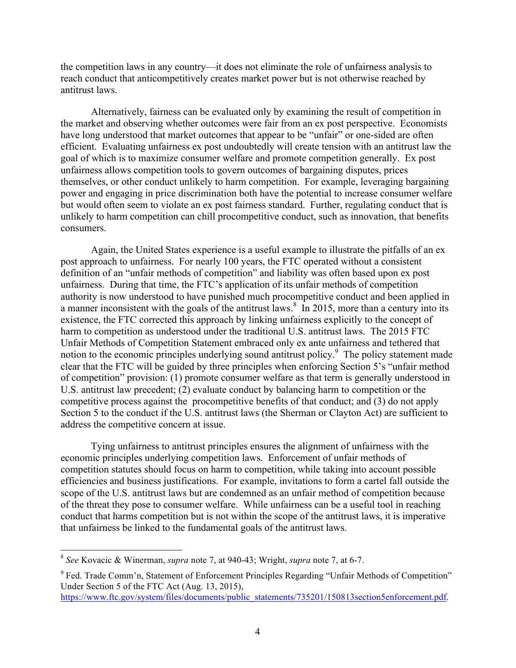the competition laws in any country—it does not eliminate the role of unfairness analysis to reach conduct that anticompetitively creates market power but is not otherwise reached by antitrust laws.

Alternatively, fairness can be evaluated only by examining the result of competition in the market and observing whether outcomes were fair from an ex post perspective. Economists have long understood that market outcomes that appear to be "unfair" or one-sided are often efficient. Evaluating unfairness ex post undoubtedly will create tension with an antitrust law the goal of which is to maximize consumer welfare and promote competition generally. Ex post unfairness allows competition tools to govern outcomes of bargaining disputes, prices themselves, or other conduct unlikely to harm competition. For example, leveraging bargaining power and engaging in price discrimination both have the potential to increase consumer welfare but would often seem to violate an ex post fairness standard. Further, regulating conduct that is unlikely to harm competition can chill procompetitive conduct, such as innovation, that benefits consumers.

Again, the United States experience is a useful example to illustrate the pitfalls of an ex post approach to unfairness. For nearly 100 years, the FTC operated without a consistent definition of an "unfair methods of competition" and liability was often based upon ex post unfairness. During that time, the FTC's application of its unfair methods of competition authority is now understood to have punished much procompetitive conduct and been applied in a manner inconsistent with the goals of the antitrust laws.<sup>8</sup> In 2015, more than a century into its existence, the FTC corrected this approach by linking unfairness explicitly to the concept of harm to competition as understood under the traditional U.S. antitrust laws. The 2015 FTC Unfair Methods of Competition Statement embraced only ex ante unfairness and tethered that notion to the economic principles underlying sound antitrust policy.<sup>9</sup> The policy statement made clear that the FTC will be guided by three principles when enforcing Section 5's "unfair method of competition" provision: (1) promote consumer welfare as that term is generally understood in U.S. antitrust law precedent; (2) evaluate conduct by balancing harm to competition or the competitive process against the procompetitive benefits of that conduct; and (3) do not apply Section 5 to the conduct if the U.S. antitrust laws (the Sherman or Clayton Act) are sufficient to address the competitive concern at issue.

Tying unfairness to antitrust principles ensures the alignment of unfairness with the economic principles underlying competition laws. Enforcement of unfair methods of competition statutes should focus on harm to competition, while taking into account possible efficiencies and business justifications. For example, invitations to form a cartel fall outside the scope of the U.S. antitrust laws but are condemned as an unfair method of competition because of the threat they pose to consumer welfare. While unfairness can be a useful tool in reaching conduct that harms competition but is not within the scope of the antitrust laws, it is imperative that unfairness be linked to the fundamental goals of the antitrust laws.

 <sup>8</sup> *See* Kovacic & Winerman, *supra* note 7, at 940-43; Wright, *supra* note 7, at 6-7.

<sup>9</sup> Fed. Trade Comm'n, Statement of Enforcement Principles Regarding "Unfair Methods of Competition" Under Section 5 of the FTC Act (Aug. 13, 2015),

https://www.ftc.gov/system/files/documents/public\_statements/735201/150813section5enforcement.pdf.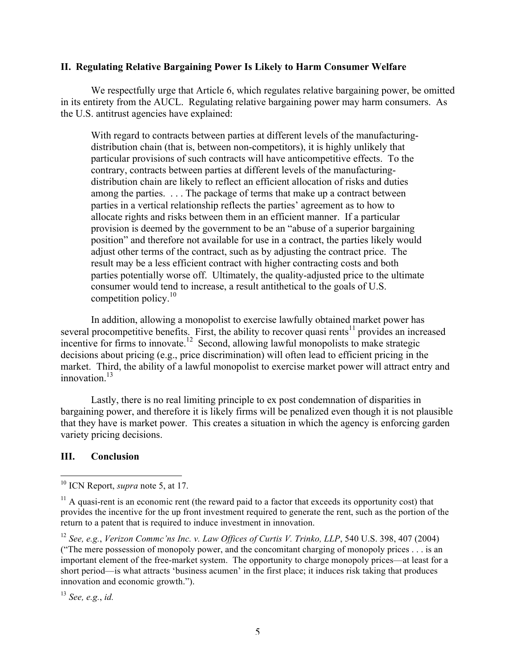### **II. Regulating Relative Bargaining Power Is Likely to Harm Consumer Welfare**

We respectfully urge that Article 6, which regulates relative bargaining power, be omitted in its entirety from the AUCL. Regulating relative bargaining power may harm consumers. As the U.S. antitrust agencies have explained:

With regard to contracts between parties at different levels of the manufacturingdistribution chain (that is, between non-competitors), it is highly unlikely that particular provisions of such contracts will have anticompetitive effects. To the contrary, contracts between parties at different levels of the manufacturingdistribution chain are likely to reflect an efficient allocation of risks and duties among the parties. . . . The package of terms that make up a contract between parties in a vertical relationship reflects the parties' agreement as to how to allocate rights and risks between them in an efficient manner. If a particular provision is deemed by the government to be an "abuse of a superior bargaining position" and therefore not available for use in a contract, the parties likely would adjust other terms of the contract, such as by adjusting the contract price. The result may be a less efficient contract with higher contracting costs and both parties potentially worse off. Ultimately, the quality-adjusted price to the ultimate consumer would tend to increase, a result antithetical to the goals of U.S. competition policy. $10$ 

In addition, allowing a monopolist to exercise lawfully obtained market power has several procompetitive benefits. First, the ability to recover quasi rents<sup>11</sup> provides an increased incentive for firms to innovate.<sup>12</sup> Second, allowing lawful monopolists to make strategic decisions about pricing (e.g., price discrimination) will often lead to efficient pricing in the market. Third, the ability of a lawful monopolist to exercise market power will attract entry and innovation. 13

Lastly, there is no real limiting principle to ex post condemnation of disparities in bargaining power, and therefore it is likely firms will be penalized even though it is not plausible that they have is market power. This creates a situation in which the agency is enforcing garden variety pricing decisions.

## **III. Conclusion**

<sup>13</sup> *See, e.g.*, *id.* 

 <sup>10</sup> ICN Report, *supra* note 5, at 17.

 $11$  A quasi-rent is an economic rent (the reward paid to a factor that exceeds its opportunity cost) that provides the incentive for the up front investment required to generate the rent, such as the portion of the return to a patent that is required to induce investment in innovation.

<sup>12</sup> *See, e.g.*, *Verizon Commc'ns Inc. v. Law Offices of Curtis V. Trinko, LLP*, 540 U.S. 398, 407 (2004) ("The mere possession of monopoly power, and the concomitant charging of monopoly prices . . . is an important element of the free-market system. The opportunity to charge monopoly prices—at least for a short period—is what attracts 'business acumen' in the first place; it induces risk taking that produces innovation and economic growth.").